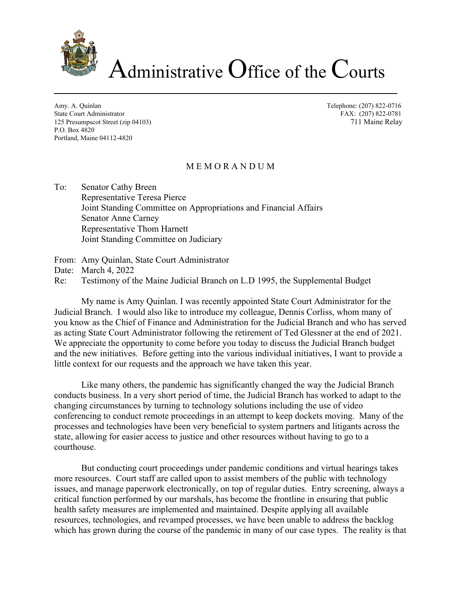

Administrative Office of the Courts

Amy. A. Quinlan Telephone: (207) 822-0716 State Court Administrator FAX: (207) 822-0781 125 Presumpscot Street (zip 04103) 711 Maine Relay P.O. Box 4820 Portland, Maine 04112-4820

#### M E M O R A N D U M

**\_\_\_\_\_\_\_\_\_\_\_\_\_\_\_\_\_\_\_\_\_\_\_\_\_\_\_\_\_\_\_\_\_\_\_\_\_\_\_\_\_\_\_\_\_\_\_\_\_\_\_\_\_\_\_\_\_\_\_\_\_\_\_\_\_\_\_\_\_\_\_\_\_\_\_\_**

To: Senator Cathy Breen Representative Teresa Pierce Joint Standing Committee on Appropriations and Financial Affairs Senator Anne Carney Representative Thom Harnett Joint Standing Committee on Judiciary

From: Amy Quinlan, State Court Administrator Date: March 4, 2022 Re: Testimony of the Maine Judicial Branch on L.D 1995, the Supplemental Budget

My name is Amy Quinlan. I was recently appointed State Court Administrator for the Judicial Branch. I would also like to introduce my colleague, Dennis Corliss, whom many of you know as the Chief of Finance and Administration for the Judicial Branch and who has served as acting State Court Administrator following the retirement of Ted Glessner at the end of 2021. We appreciate the opportunity to come before you today to discuss the Judicial Branch budget and the new initiatives. Before getting into the various individual initiatives, I want to provide a little context for our requests and the approach we have taken this year.

Like many others, the pandemic has significantly changed the way the Judicial Branch conducts business. In a very short period of time, the Judicial Branch has worked to adapt to the changing circumstances by turning to technology solutions including the use of video conferencing to conduct remote proceedings in an attempt to keep dockets moving. Many of the processes and technologies have been very beneficial to system partners and litigants across the state, allowing for easier access to justice and other resources without having to go to a courthouse.

But conducting court proceedings under pandemic conditions and virtual hearings takes more resources. Court staff are called upon to assist members of the public with technology issues, and manage paperwork electronically, on top of regular duties. Entry screening, always a critical function performed by our marshals, has become the frontline in ensuring that public health safety measures are implemented and maintained. Despite applying all available resources, technologies, and revamped processes, we have been unable to address the backlog which has grown during the course of the pandemic in many of our case types. The reality is that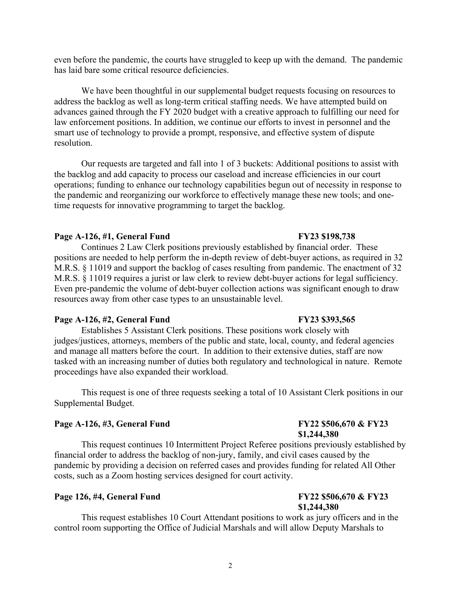even before the pandemic, the courts have struggled to keep up with the demand. The pandemic has laid bare some critical resource deficiencies.

We have been thoughtful in our supplemental budget requests focusing on resources to address the backlog as well as long-term critical staffing needs. We have attempted build on advances gained through the FY 2020 budget with a creative approach to fulfilling our need for law enforcement positions. In addition, we continue our efforts to invest in personnel and the smart use of technology to provide a prompt, responsive, and effective system of dispute resolution.

Our requests are targeted and fall into 1 of 3 buckets: Additional positions to assist with the backlog and add capacity to process our caseload and increase efficiencies in our court operations; funding to enhance our technology capabilities begun out of necessity in response to the pandemic and reorganizing our workforce to effectively manage these new tools; and onetime requests for innovative programming to target the backlog.

#### Page A-126, #1, General Fund Fund FY23 \$198,738

Continues 2 Law Clerk positions previously established by financial order. These positions are needed to help perform the in-depth review of debt-buyer actions, as required in 32 M.R.S. § 11019 and support the backlog of cases resulting from pandemic. The enactment of 32 M.R.S.  $§$  11019 requires a jurist or law clerk to review debt-buyer actions for legal sufficiency. Even pre-pandemic the volume of debt-buyer collection actions was significant enough to draw resources away from other case types to an unsustainable level.

#### Page A-126, #2, General Fund **FY23** \$393,565

Establishes 5 Assistant Clerk positions. These positions work closely with judges/justices, attorneys, members of the public and state, local, county, and federal agencies and manage all matters before the court. In addition to their extensive duties, staff are now tasked with an increasing number of duties both regulatory and technological in nature. Remote proceedings have also expanded their workload.

This request is one of three requests seeking a total of 10 Assistant Clerk positions in our Supplemental Budget.

#### Page A-126, #3, General Fund **FY22** \$506,670 & FY23

This request continues 10 Intermittent Project Referee positions previously established by financial order to address the backlog of non-jury, family, and civil cases caused by the pandemic by providing a decision on referred cases and provides funding for related All Other costs, such as a Zoom hosting services designed for court activity.

#### Page 126, #4, General Fund **FY22** \$506,670 & FY23

This request establishes 10 Court Attendant positions to work as jury officers and in the control room supporting the Office of Judicial Marshals and will allow Deputy Marshals to

## **\$1,244,380**

**\$1,244,380**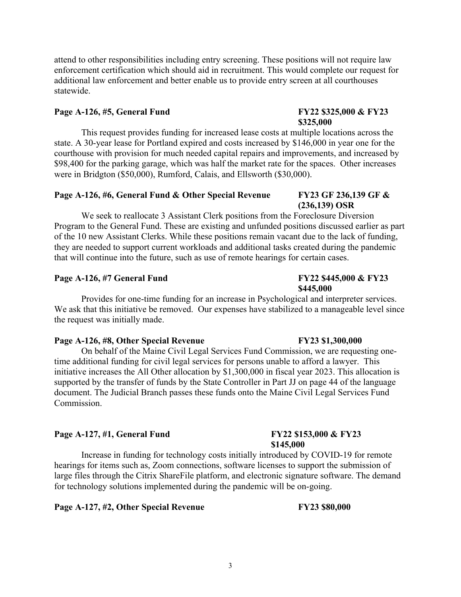attend to other responsibilities including entry screening. These positions will not require law enforcement certification which should aid in recruitment. This would complete our request for additional law enforcement and better enable us to provide entry screen at all courthouses statewide.

### Page A-126, #5, General Fund **FY22** \$325,000 & FY23

This request provides funding for increased lease costs at multiple locations across the state. A 30-year lease for Portland expired and costs increased by \$146,000 in year one for the courthouse with provision for much needed capital repairs and improvements, and increased by \$98,400 for the parking garage, which was half the market rate for the spaces. Other increases were in Bridgton (\$50,000), Rumford, Calais, and Ellsworth (\$30,000).

## **Page A-126, #6, General Fund & Other Special Revenue FY23 GF 236,139 GF &**

We seek to reallocate 3 Assistant Clerk positions from the Foreclosure Diversion Program to the General Fund. These are existing and unfunded positions discussed earlier as part of the 10 new Assistant Clerks. While these positions remain vacant due to the lack of funding, they are needed to support current workloads and additional tasks created during the pandemic that will continue into the future, such as use of remote hearings for certain cases.

### **Page A-126, #7 General Fund FY22 \$445,000 & FY23**

Provides for one-time funding for an increase in Psychological and interpreter services. We ask that this initiative be removed. Our expenses have stabilized to a manageable level since the request was initially made.

### **Page A-126, #8, Other Special Revenue FY23 \$1,300,000**

On behalf of the Maine Civil Legal Services Fund Commission, we are requesting onetime additional funding for civil legal services for persons unable to afford a lawyer. This initiative increases the All Other allocation by \$1,300,000 in fiscal year 2023. This allocation is supported by the transfer of funds by the State Controller in Part JJ on page 44 of the language document. The Judicial Branch passes these funds onto the Maine Civil Legal Services Fund **Commission** 

### **Page A-127, #1, General Fund FY22 \$153,000 & FY23**

Increase in funding for technology costs initially introduced by COVID-19 for remote hearings for items such as, Zoom connections, software licenses to support the submission of large files through the Citrix ShareFile platform, and electronic signature software. The demand for technology solutions implemented during the pandemic will be on-going.

### Page A-127, #2, Other Special Revenue **FY23** \$80,000

**\$445,000**

**(236,139) OSR** 

## **\$325,000**

# **\$145,000**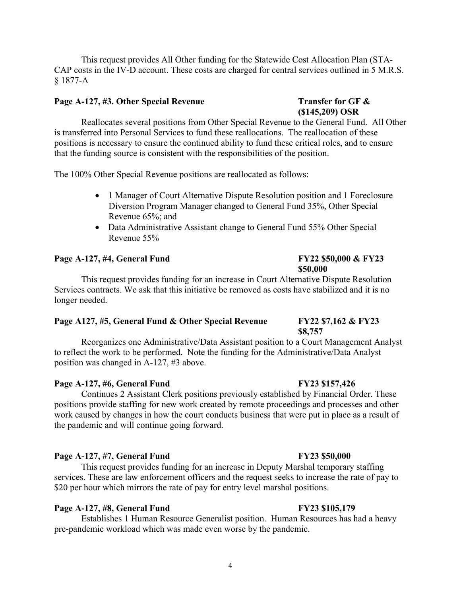This request provides All Other funding for the Statewide Cost Allocation Plan (STA-CAP costs in the IV-D account. These costs are charged for central services outlined in 5 M.R.S. § 1877-A

### Page A-127, #3. Other Special Revenue Transfer for GF &

Reallocates several positions from Other Special Revenue to the General Fund. All Other is transferred into Personal Services to fund these reallocations. The reallocation of these positions is necessary to ensure the continued ability to fund these critical roles, and to ensure that the funding source is consistent with the responsibilities of the position.

The 100% Other Special Revenue positions are reallocated as follows:

- 1 Manager of Court Alternative Dispute Resolution position and 1 Foreclosure Diversion Program Manager changed to General Fund 35%, Other Special Revenue 65%; and
- Data Administrative Assistant change to General Fund 55% Other Special Revenue 55%

### Page A-127, #4, General Fund **FY22** \$50,000 & FY23

This request provides funding for an increase in Court Alternative Dispute Resolution Services contracts. We ask that this initiative be removed as costs have stabilized and it is no longer needed.

### **Page A127, #5, General Fund & Other Special Revenue FY22 \$7,162 & FY23**

Reorganizes one Administrative/Data Assistant position to a Court Management Analyst to reflect the work to be performed. Note the funding for the Administrative/Data Analyst position was changed in A-127, #3 above.

### **Page A-127, #6, General Fund FY23 \$157,426**

Continues 2 Assistant Clerk positions previously established by Financial Order. These positions provide staffing for new work created by remote proceedings and processes and other work caused by changes in how the court conducts business that were put in place as a result of the pandemic and will continue going forward.

### Page A-127, #7, General Fund **FY23** \$50,000

This request provides funding for an increase in Deputy Marshal temporary staffing services. These are law enforcement officers and the request seeks to increase the rate of pay to \$20 per hour which mirrors the rate of pay for entry level marshal positions.

### Page A-127, #8, General Fund **FY23** \$105,179

Establishes 1 Human Resource Generalist position. Human Resources has had a heavy pre-pandemic workload which was made even worse by the pandemic.

**\$50,000** 

**\$8,757**

# **(\$145,209) OSR**